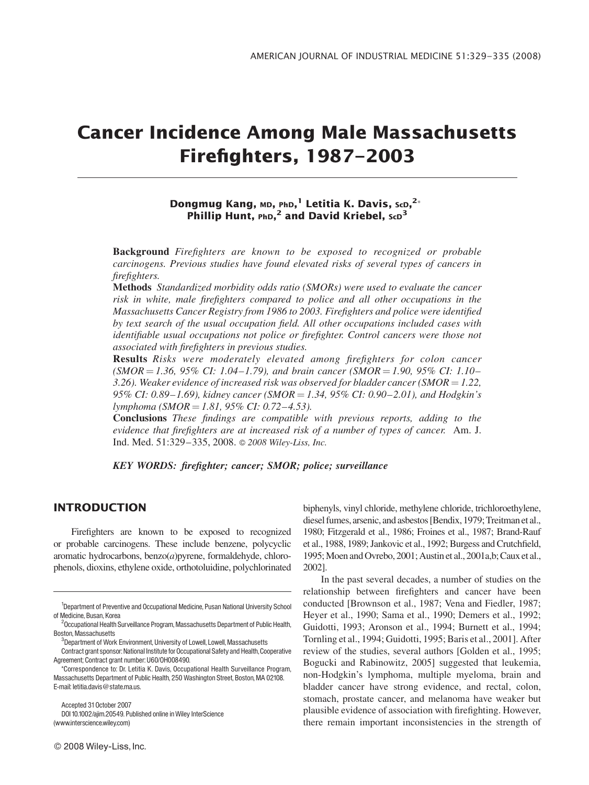# Cancer Incidence Among Male Massachusetts Firefighters, 1987–2003

# Dongmug Kang, MD, PhD,<sup>1</sup> Letitia K. Davis, scD,<sup>2</sup>\* Phillip Hunt, PhD,<sup>2</sup> and David Kriebel, ScD<sup>3</sup>

Background Firefighters are known to be exposed to recognized or probable carcinogens. Previous studies have found elevated risks of several types of cancers in firefighters.

Methods Standardized morbidity odds ratio (SMORs) were used to evaluate the cancer risk in white, male firefighters compared to police and all other occupations in the Massachusetts Cancer Registry from 1986 to 2003. Firefighters and police were identified by text search of the usual occupation field. All other occupations included cases with identifiable usual occupations not police or firefighter. Control cancers were those not associated with firefighters in previous studies.

Results Risks were moderately elevated among firefighters for colon cancer  $(SMOR = 1.36, 95\% \text{ CI: } 1.04 - 1.79)$ , and brain cancer  $(SMOR = 1.90, 95\% \text{ CI: } 1.10 -$ 3.26). Weaker evidence of increased risk was observed for bladder cancer (SMOR = 1.22, 95% CI: 0.89–1.69), kidney cancer (SMOR = 1.34, 95% CI: 0.90–2.01), and Hodgkin's lymphoma (SMOR = 1.81, 95% CI: 0.72–4.53).

Conclusions These findings are compatible with previous reports, adding to the evidence that firefighters are at increased risk of a number of types of cancer. Am. J. Ind. Med. 51:329–335, 2008. 2008 Wiley-Liss, Inc.

KEY WORDS: firefighter; cancer; SMOR; police; surveillance

### INTRODUCTION

Firefighters are known to be exposed to recognized or probable carcinogens. These include benzene, polycyclic aromatic hydrocarbons, benzo(a)pyrene, formaldehyde, chlorophenols, dioxins, ethylene oxide, orthotoluidine, polychlorinated

<sup>3</sup> Department of Work Environment, University of Lowell, Lowell, Massachusetts

Accepted 31October 2007 DOI 10.1002/ajim.20549. Published online in Wiley InterScience (www.interscience.wiley.com)

biphenyls, vinyl chloride, methylene chloride, trichloroethylene, diesel fumes, arsenic, and asbestos [Bendix, 1979; Treitman et al., 1980; Fitzgerald et al., 1986; Froines et al., 1987; Brand-Rauf et al., 1988, 1989; Jankovic et al., 1992; Burgess and Crutchfield, 1995;Moen and Ovrebo, 2001; Austin et al., 2001a,b; Caux et al., 2002].

In the past several decades, a number of studies on the relationship between firefighters and cancer have been conducted [Brownson et al., 1987; Vena and Fiedler, 1987; Heyer et al., 1990; Sama et al., 1990; Demers et al., 1992; Guidotti, 1993; Aronson et al., 1994; Burnett et al., 1994; Tornling et al., 1994; Guidotti, 1995; Baris et al., 2001]. After review of the studies, several authors [Golden et al., 1995; Bogucki and Rabinowitz, 2005] suggested that leukemia, non-Hodgkin's lymphoma, multiple myeloma, brain and bladder cancer have strong evidence, and rectal, colon, stomach, prostate cancer, and melanoma have weaker but plausible evidence of association with firefighting. However, there remain important inconsistencies in the strength of

<sup>&</sup>lt;sup>1</sup>Department of Preventive and Occupational Medicine, Pusan National University School of Medicine, Busan, Korea <sup>2</sup>

 $20$ ccupational Health Surveillance Program, Massachusetts Department of Public Health, Boston, Massachusetts <sup>3</sup>

Contract grant sponsor: National Institutefor Occupational Safety and Health,Cooperative Agreement; Contract grant number: U60/OH008490.

<sup>\*</sup>Correspondence to: Dr. Letitia K. Davis, Occupational Health Surveillance Program, Massachusetts Department of Public Health, 250 Washington Street, Boston, MA 02108. E-mail: letitia.davis@state.ma.us.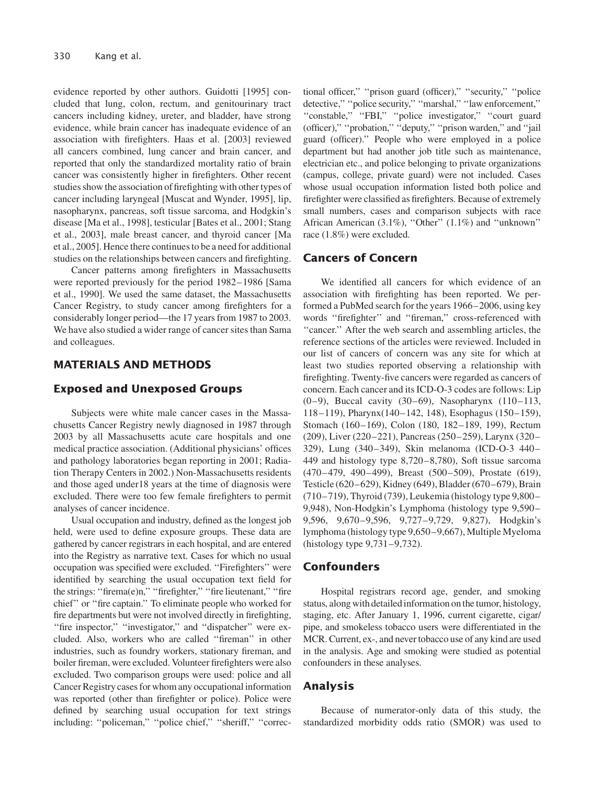evidence reported by other authors. Guidotti [1995] concluded that lung, colon, rectum, and genitourinary tract cancers including kidney, ureter, and bladder, have strong evidence, while brain cancer has inadequate evidence of an association with firefighters. Haas et al. [2003] reviewed all cancers combined, lung cancer and brain cancer, and reported that only the standardized mortality ratio of brain cancer was consistently higher in firefighters. Other recent studies show the association of firefighting with other types of cancer including laryngeal [Muscat and Wynder, 1995], lip, nasopharynx, pancreas, soft tissue sarcoma, and Hodgkin's disease [Ma et al., 1998], testicular [Bates et al., 2001; Stang et al., 2003], male breast cancer, and thyroid cancer [Ma et al., 2005]. Hence there continues to be a need for additional studies on the relationships between cancers and firefighting.

Cancer patterns among firefighters in Massachusetts were reported previously for the period 1982–1986 [Sama et al., 1990]. We used the same dataset, the Massachusetts Cancer Registry, to study cancer among firefighters for a considerably longer period—the 17 years from 1987 to 2003. We have also studied a wider range of cancer sites than Sama and colleagues.

#### MATERIALS AND METHODS

#### Exposed and Unexposed Groups

Subjects were white male cancer cases in the Massachusetts Cancer Registry newly diagnosed in 1987 through 2003 by all Massachusetts acute care hospitals and one medical practice association. (Additional physicians' offices and pathology laboratories began reporting in 2001; Radiation Therapy Centers in 2002.) Non-Massachusetts residents and those aged under18 years at the time of diagnosis were excluded. There were too few female firefighters to permit analyses of cancer incidence.

Usual occupation and industry, defined as the longest job held, were used to define exposure groups. These data are gathered by cancer registrars in each hospital, and are entered into the Registry as narrative text. Cases for which no usual occupation was specified were excluded. ''Firefighters'' were identified by searching the usual occupation text field for the strings: "firema(e)n," "firefighter," "fire lieutenant," "fire chief'' or ''fire captain.'' To eliminate people who worked for fire departments but were not involved directly in firefighting, "fire inspector," "investigator," and "dispatcher" were excluded. Also, workers who are called ''fireman'' in other industries, such as foundry workers, stationary fireman, and boiler fireman, were excluded. Volunteer firefighters were also excluded. Two comparison groups were used: police and all Cancer Registry cases for whom any occupational information was reported (other than firefighter or police). Police were defined by searching usual occupation for text strings including: "policeman," "police chief," "sheriff," "correc-

tional officer," "prison guard (officer)," "security," "police detective," "police security," "marshal," "law enforcement," "constable," "FBI," "police investigator," "court guard (officer),'' ''probation,'' ''deputy,'' ''prison warden,'' and ''jail guard (officer).'' People who were employed in a police department but had another job title such as maintenance, electrician etc., and police belonging to private organizations (campus, college, private guard) were not included. Cases whose usual occupation information listed both police and firefighter were classified as firefighters. Because of extremely small numbers, cases and comparison subjects with race African American (3.1%), ''Other'' (1.1%) and ''unknown'' race (1.8%) were excluded.

#### Cancers of Concern

We identified all cancers for which evidence of an association with firefighting has been reported. We performed a PubMed search for the years 1966–2006, using key words ''firefighter'' and ''fireman,'' cross-referenced with ''cancer.'' After the web search and assembling articles, the reference sections of the articles were reviewed. Included in our list of cancers of concern was any site for which at least two studies reported observing a relationship with firefighting. Twenty-five cancers were regarded as cancers of concern. Each cancer and its ICD-O-3 codes are follows: Lip (0–9), Buccal cavity (30–69), Nasopharynx (110–113, 118–119), Pharynx(140–142, 148), Esophagus (150–159), Stomach (160–169), Colon (180, 182–189, 199), Rectum (209), Liver (220–221), Pancreas (250–259), Larynx (320– 329), Lung (340–349), Skin melanoma (ICD-O-3 440– 449 and histology type 8,720–8,780), Soft tissue sarcoma (470–479, 490–499), Breast (500–509), Prostate (619), Testicle (620–629), Kidney (649), Bladder (670–679), Brain (710–719), Thyroid (739), Leukemia (histology type 9,800– 9,948), Non-Hodgkin's Lymphoma (histology type 9,590– 9,596, 9,670–9,596, 9,727–9,729, 9,827), Hodgkin's lymphoma (histology type 9,650–9,667), Multiple Myeloma (histology type 9,731–9,732).

### Confounders

Hospital registrars record age, gender, and smoking status, along with detailed information on the tumor, histology, staging, etc. After January 1, 1996, current cigarette, cigar/ pipe, and smokeless tobacco users were differentiated in the MCR. Current, ex-, and never tobacco use of any kind are used in the analysis. Age and smoking were studied as potential confounders in these analyses.

#### Analysis

Because of numerator-only data of this study, the standardized morbidity odds ratio (SMOR) was used to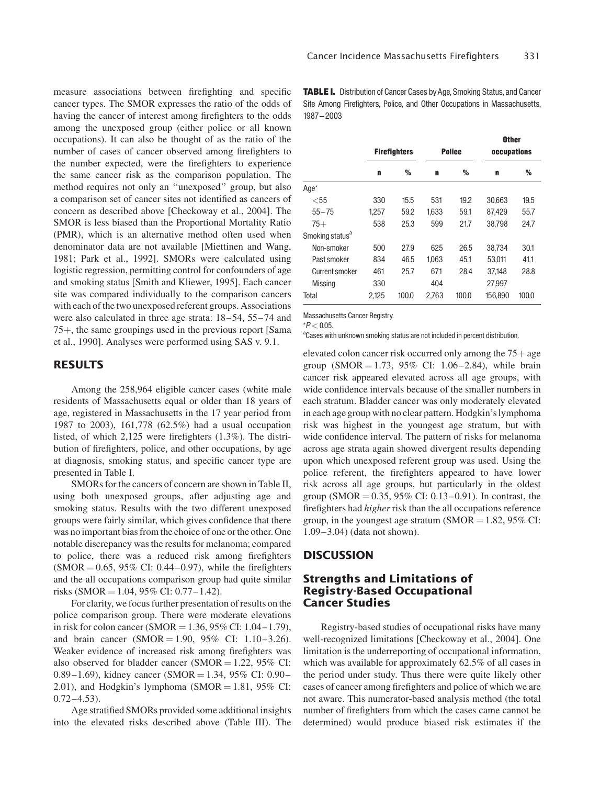measure associations between firefighting and specific cancer types. The SMOR expresses the ratio of the odds of having the cancer of interest among firefighters to the odds among the unexposed group (either police or all known occupations). It can also be thought of as the ratio of the number of cases of cancer observed among firefighters to the number expected, were the firefighters to experience the same cancer risk as the comparison population. The method requires not only an ''unexposed'' group, but also a comparison set of cancer sites not identified as cancers of concern as described above [Checkoway et al., 2004]. The SMOR is less biased than the Proportional Mortality Ratio (PMR), which is an alternative method often used when denominator data are not available [Miettinen and Wang, 1981; Park et al., 1992]. SMORs were calculated using logistic regression, permitting control for confounders of age and smoking status [Smith and Kliewer, 1995]. Each cancer site was compared individually to the comparison cancers with each of the two unexposed referent groups. Associations were also calculated in three age strata: 18–54, 55–74 and  $75+$ , the same groupings used in the previous report [Sama] et al., 1990]. Analyses were performed using SAS v. 9.1.

#### RESULTS

Among the 258,964 eligible cancer cases (white male residents of Massachusetts equal or older than 18 years of age, registered in Massachusetts in the 17 year period from 1987 to 2003), 161,778 (62.5%) had a usual occupation listed, of which 2,125 were firefighters (1.3%). The distribution of firefighters, police, and other occupations, by age at diagnosis, smoking status, and specific cancer type are presented in Table I.

SMORs for the cancers of concern are shown in Table II, using both unexposed groups, after adjusting age and smoking status. Results with the two different unexposed groups were fairly similar, which gives confidence that there was no important bias from the choice of one or the other. One notable discrepancy was the results for melanoma; compared to police, there was a reduced risk among firefighters  $(SMOR = 0.65, 95\% \text{ CI: } 0.44 - 0.97)$ , while the firefighters and the all occupations comparison group had quite similar risks (SMOR = 1.04, 95% CI: 0.77–1.42).

For clarity, we focus further presentation of results on the police comparison group. There were moderate elevations in risk for colon cancer (SMOR =  $1.36, 95\%$  CI:  $1.04-1.79$ ), and brain cancer (SMOR = 1.90, 95% CI: 1.10–3.26). Weaker evidence of increased risk among firefighters was also observed for bladder cancer (SMOR  $= 1.22$ , 95% CI: 0.89–1.69), kidney cancer (SMOR = 1.34, 95% CI: 0.90– 2.01), and Hodgkin's lymphoma (SMOR  $=$  1.81, 95% CI:  $0.72 - 4.53$ ).

Age stratified SMORs provided some additional insights into the elevated risks described above (Table III). The

**TABLE I.** Distribution of Cancer Cases by Age, Smoking Status, and Cancer Site Among Firefighters, Police, and Other Occupations in Massachusetts, 1987^2003

|                             | <b>Firefighters</b> |       |       | <b>Police</b> | <b>Other</b><br>occupations |       |  |
|-----------------------------|---------------------|-------|-------|---------------|-----------------------------|-------|--|
|                             | n                   | $\%$  | n     | $\%$          | n                           | %     |  |
| Age*                        |                     |       |       |               |                             |       |  |
| $<$ 55                      | 330                 | 15.5  | 531   | 19.2          | 30.663                      | 19.5  |  |
| $55 - 75$                   | 1.257               | 59.2  | 1.633 | 59.1          | 87.429                      | 55.7  |  |
| $75+$                       | 538                 | 25.3  | 599   | 21.7          | 38,798                      | 24.7  |  |
| Smoking status <sup>a</sup> |                     |       |       |               |                             |       |  |
| Non-smoker                  | 500                 | 27.9  | 625   | 26.5          | 38.734                      | 30.1  |  |
| Past smoker                 | 834                 | 46.5  | 1.063 | 45.1          | 53.011                      | 41.1  |  |
| <b>Current smoker</b>       | 461                 | 25.7  | 671   | 28.4          | 37.148                      | 28.8  |  |
| <b>Missing</b>              | 330                 |       | 404   |               | 27.997                      |       |  |
| Total                       | 2.125               | 100.0 | 2.763 | 100.0         | 156.890                     | 100.0 |  |

Massachusetts Cancer Registry.

 $*P < 0.05$ .

<sup>a</sup>Cases with unknown smoking status are not included in percent distribution.

elevated colon cancer risk occurred only among the  $75+$  age group (SMOR = 1.73, 95% CI: 1.06–2.84), while brain cancer risk appeared elevated across all age groups, with wide confidence intervals because of the smaller numbers in each stratum. Bladder cancer was only moderately elevated in each age group with no clear pattern. Hodgkin's lymphoma risk was highest in the youngest age stratum, but with wide confidence interval. The pattern of risks for melanoma across age strata again showed divergent results depending upon which unexposed referent group was used. Using the police referent, the firefighters appeared to have lower risk across all age groups, but particularly in the oldest group (SMOR =  $0.35$ , 95% CI:  $0.13-0.91$ ). In contrast, the firefighters had higher risk than the all occupations reference group, in the youngest age stratum (SMOR  $= 1.82$ , 95% CI: 1.09–3.04) (data not shown).

#### **DISCUSSION**

#### Strengths and Limitations of Registry-Based Occupational Cancer Studies

Registry-based studies of occupational risks have many well-recognized limitations [Checkoway et al., 2004]. One limitation is the underreporting of occupational information, which was available for approximately 62.5% of all cases in the period under study. Thus there were quite likely other cases of cancer among firefighters and police of which we are not aware. This numerator-based analysis method (the total number of firefighters from which the cases came cannot be determined) would produce biased risk estimates if the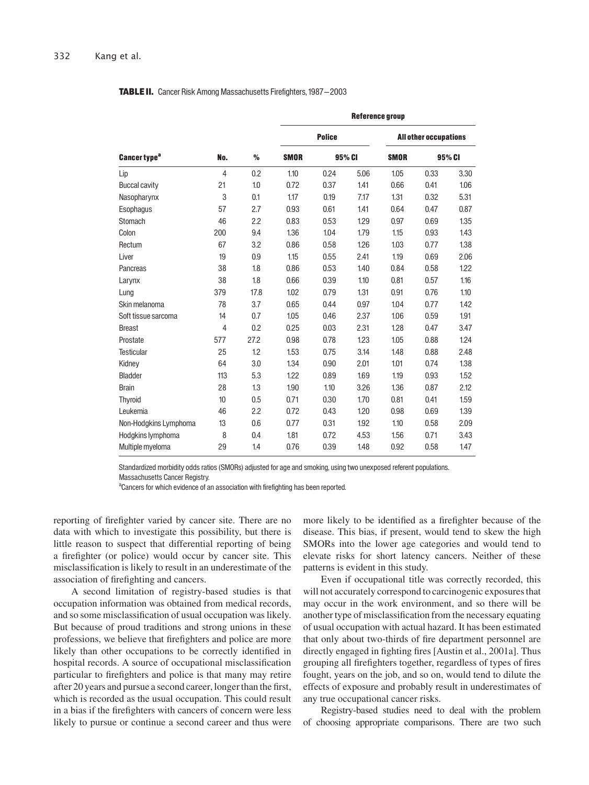#### TABLE II. Cancer Risk Among Massachusetts Firefighters, 1987-2003

|                                | No. | $\frac{0}{0}$ | <b>Reference group</b> |        |      |                              |        |      |  |
|--------------------------------|-----|---------------|------------------------|--------|------|------------------------------|--------|------|--|
| <b>Cancer type<sup>a</sup></b> |     |               | <b>Police</b>          |        |      | <b>All other occupations</b> |        |      |  |
|                                |     |               | <b>SMOR</b>            | 95% CI |      | <b>SMOR</b>                  | 95% CI |      |  |
| Lip                            | 4   | 0.2           | 1.10                   | 0.24   | 5.06 | 1.05                         | 0.33   | 3.30 |  |
| <b>Buccal cavity</b>           | 21  | 1.0           | 0.72                   | 0.37   | 1.41 | 0.66                         | 0.41   | 1.06 |  |
| Nasopharynx                    | 3   | 0.1           | 1.17                   | 0.19   | 7.17 | 1.31                         | 0.32   | 5.31 |  |
| Esophagus                      | 57  | 2.7           | 0.93                   | 0.61   | 1.41 | 0.64                         | 0.47   | 0.87 |  |
| Stomach                        | 46  | 2.2           | 0.83                   | 0.53   | 1.29 | 0.97                         | 0.69   | 1.35 |  |
| Colon                          | 200 | 9.4           | 1.36                   | 1.04   | 1.79 | 1.15                         | 0.93   | 1.43 |  |
| Rectum                         | 67  | 3.2           | 0.86                   | 0.58   | 1.26 | 1.03                         | 0.77   | 1.38 |  |
| Liver                          | 19  | 0.9           | 1.15                   | 0.55   | 2.41 | 1.19                         | 0.69   | 2.06 |  |
| Pancreas                       | 38  | 1.8           | 0.86                   | 0.53   | 1.40 | 0.84                         | 0.58   | 1.22 |  |
| Larynx                         | 38  | 1.8           | 0.66                   | 0.39   | 1.10 | 0.81                         | 0.57   | 1.16 |  |
| Lung                           | 379 | 17.8          | 1.02                   | 0.79   | 1.31 | 0.91                         | 0.76   | 1.10 |  |
| Skin melanoma                  | 78  | 3.7           | 0.65                   | 0.44   | 0.97 | 1.04                         | 0.77   | 1.42 |  |
| Soft tissue sarcoma            | 14  | 0.7           | 1.05                   | 0.46   | 2.37 | 1.06                         | 0.59   | 1.91 |  |
| <b>Breast</b>                  | 4   | 0.2           | 0.25                   | 0.03   | 2.31 | 1.28                         | 0.47   | 3.47 |  |
| Prostate                       | 577 | 27.2          | 0.98                   | 0.78   | 1.23 | 1.05                         | 0.88   | 1.24 |  |
| <b>Testicular</b>              | 25  | 1.2           | 1.53                   | 0.75   | 3.14 | 1.48                         | 0.88   | 2.48 |  |
| Kidney                         | 64  | 3.0           | 1.34                   | 0.90   | 2.01 | 1.01                         | 0.74   | 1.38 |  |
| <b>Bladder</b>                 | 113 | 5.3           | 1.22                   | 0.89   | 1.69 | 1.19                         | 0.93   | 1.52 |  |
| <b>Brain</b>                   | 28  | 1.3           | 1.90                   | 1.10   | 3.26 | 1.36                         | 0.87   | 2.12 |  |
| Thyroid                        | 10  | 0.5           | 0.71                   | 0.30   | 1.70 | 0.81                         | 0.41   | 1.59 |  |
| Leukemia                       | 46  | 2.2           | 0.72                   | 0.43   | 1.20 | 0.98                         | 0.69   | 1.39 |  |
| Non-Hodgkins Lymphoma          | 13  | 0.6           | 0.77                   | 0.31   | 1.92 | 1.10                         | 0.58   | 2.09 |  |
| Hodgkins lymphoma              | 8   | 0.4           | 1.81                   | 0.72   | 4.53 | 1.56                         | 0.71   | 3.43 |  |
| Multiple myeloma               | 29  | 1.4           | 0.76                   | 0.39   | 1.48 | 0.92                         | 0.58   | 1.47 |  |

Standardized morbidity odds ratios (SMORs) adjusted for age and smoking, using two unexposed referent populations.

Massachusetts Cancer Registry.

<sup>a</sup>Cancers for which evidence of an association with firefighting has been reported.

reporting of firefighter varied by cancer site. There are no data with which to investigate this possibility, but there is little reason to suspect that differential reporting of being a firefighter (or police) would occur by cancer site. This misclassification is likely to result in an underestimate of the association of firefighting and cancers.

A second limitation of registry-based studies is that occupation information was obtained from medical records, and so some misclassification of usual occupation was likely. But because of proud traditions and strong unions in these professions, we believe that firefighters and police are more likely than other occupations to be correctly identified in hospital records. A source of occupational misclassification particular to firefighters and police is that many may retire after 20 years and pursue a second career, longer than the first, which is recorded as the usual occupation. This could result in a bias if the firefighters with cancers of concern were less likely to pursue or continue a second career and thus were

more likely to be identified as a firefighter because of the disease. This bias, if present, would tend to skew the high SMORs into the lower age categories and would tend to elevate risks for short latency cancers. Neither of these patterns is evident in this study.

Even if occupational title was correctly recorded, this will not accurately correspond to carcinogenic exposures that may occur in the work environment, and so there will be another type of misclassification from the necessary equating of usual occupation with actual hazard. It has been estimated that only about two-thirds of fire department personnel are directly engaged in fighting fires [Austin et al., 2001a]. Thus grouping all firefighters together, regardless of types of fires fought, years on the job, and so on, would tend to dilute the effects of exposure and probably result in underestimates of any true occupational cancer risks.

Registry-based studies need to deal with the problem of choosing appropriate comparisons. There are two such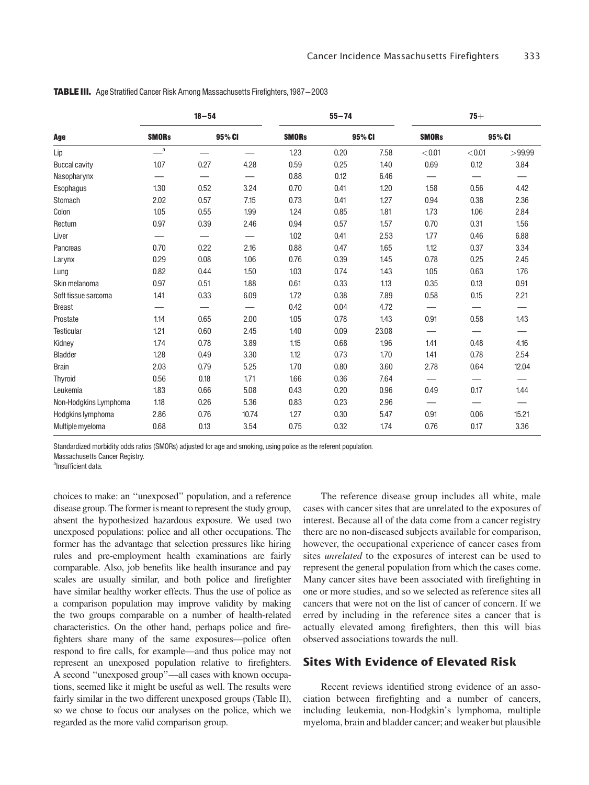|                       | $18 - 54$                  |        |       | $55 - 74$    |        |       | $75+$        |        |        |
|-----------------------|----------------------------|--------|-------|--------------|--------|-------|--------------|--------|--------|
| Age<br>Lip            | <b>SMORs</b>               | 95% CI |       | <b>SMORs</b> | 95% CI |       | <b>SMORs</b> | 95% CI |        |
|                       | $\overline{\phantom{a}}^a$ |        |       | 1.23         | 0.20   | 7.58  | < 0.01       | < 0.01 | >99.99 |
| <b>Buccal cavity</b>  | 1.07                       | 0.27   | 4.28  | 0.59         | 0.25   | 1.40  | 0.69         | 0.12   | 3.84   |
| Nasopharynx           |                            |        |       | 0.88         | 0.12   | 6.46  |              |        |        |
| Esophagus             | 1.30                       | 0.52   | 3.24  | 0.70         | 0.41   | 1.20  | 1.58         | 0.56   | 4.42   |
| Stomach               | 2.02                       | 0.57   | 7.15  | 0.73         | 0.41   | 1.27  | 0.94         | 0.38   | 2.36   |
| Colon                 | 1.05                       | 0.55   | 1.99  | 1.24         | 0.85   | 1.81  | 1.73         | 1.06   | 2.84   |
| Rectum                | 0.97                       | 0.39   | 2.46  | 0.94         | 0.57   | 1.57  | 0.70         | 0.31   | 1.56   |
| Liver                 |                            |        |       | 1.02         | 0.41   | 2.53  | 1.77         | 0.46   | 6.88   |
| Pancreas              | 0.70                       | 0.22   | 2.16  | 0.88         | 0.47   | 1.65  | 1.12         | 0.37   | 3.34   |
| Larynx                | 0.29                       | 0.08   | 1.06  | 0.76         | 0.39   | 1.45  | 0.78         | 0.25   | 2.45   |
| Lung                  | 0.82                       | 0.44   | 1.50  | 1.03         | 0.74   | 1.43  | 1.05         | 0.63   | 1.76   |
| Skin melanoma         | 0.97                       | 0.51   | 1.88  | 0.61         | 0.33   | 1.13  | 0.35         | 0.13   | 0.91   |
| Soft tissue sarcoma   | 1.41                       | 0.33   | 6.09  | 1.72         | 0.38   | 7.89  | 0.58         | 0.15   | 2.21   |
| <b>Breast</b>         |                            |        |       | 0.42         | 0.04   | 4.72  |              |        |        |
| Prostate              | 1.14                       | 0.65   | 2.00  | 1.05         | 0.78   | 1.43  | 0.91         | 0.58   | 1.43   |
| <b>Testicular</b>     | 1.21                       | 0.60   | 2.45  | 1.40         | 0.09   | 23.08 |              |        |        |
| Kidney                | 1.74                       | 0.78   | 3.89  | 1.15         | 0.68   | 1.96  | 1.41         | 0.48   | 4.16   |
| <b>Bladder</b>        | 1.28                       | 0.49   | 3.30  | 1.12         | 0.73   | 1.70  | 1.41         | 0.78   | 2.54   |
| <b>Brain</b>          | 2.03                       | 0.79   | 5.25  | 1.70         | 0.80   | 3.60  | 2.78         | 0.64   | 12.04  |
| Thyroid               | 0.56                       | 0.18   | 1.71  | 1.66         | 0.36   | 7.64  |              |        |        |
| Leukemia              | 1.83                       | 0.66   | 5.08  | 0.43         | 0.20   | 0.96  | 0.49         | 0.17   | 1.44   |
| Non-Hodgkins Lymphoma | 1.18                       | 0.26   | 5.36  | 0.83         | 0.23   | 2.96  |              |        |        |
| Hodgkins lymphoma     | 2.86                       | 0.76   | 10.74 | 1.27         | 0.30   | 5.47  | 0.91         | 0.06   | 15.21  |
| Multiple myeloma      | 0.68                       | 0.13   | 3.54  | 0.75         | 0.32   | 1.74  | 0.76         | 0.17   | 3.36   |

TABLE III. Age Stratified Cancer Risk Among Massachusetts Firefighters, 1987-2003

Standardized morbidity odds ratios (SMORs) adjusted for age and smoking, using police as the referent population.

Massachusetts Cancer Registry.

<sup>a</sup>lnsufficient data.

choices to make: an ''unexposed'' population, and a reference disease group. The former is meant to represent the study group, absent the hypothesized hazardous exposure. We used two unexposed populations: police and all other occupations. The former has the advantage that selection pressures like hiring rules and pre-employment health examinations are fairly comparable. Also, job benefits like health insurance and pay scales are usually similar, and both police and firefighter have similar healthy worker effects. Thus the use of police as a comparison population may improve validity by making the two groups comparable on a number of health-related characteristics. On the other hand, perhaps police and firefighters share many of the same exposures—police often respond to fire calls, for example—and thus police may not represent an unexposed population relative to firefighters. A second ''unexposed group''—all cases with known occupations, seemed like it might be useful as well. The results were fairly similar in the two different unexposed groups (Table II), so we chose to focus our analyses on the police, which we regarded as the more valid comparison group.

The reference disease group includes all white, male cases with cancer sites that are unrelated to the exposures of interest. Because all of the data come from a cancer registry there are no non-diseased subjects available for comparison, however, the occupational experience of cancer cases from sites unrelated to the exposures of interest can be used to represent the general population from which the cases come. Many cancer sites have been associated with firefighting in one or more studies, and so we selected as reference sites all cancers that were not on the list of cancer of concern. If we erred by including in the reference sites a cancer that is actually elevated among firefighters, then this will bias observed associations towards the null.

# Sites With Evidence of Elevated Risk

Recent reviews identified strong evidence of an association between firefighting and a number of cancers, including leukemia, non-Hodgkin's lymphoma, multiple myeloma, brain and bladder cancer; and weaker but plausible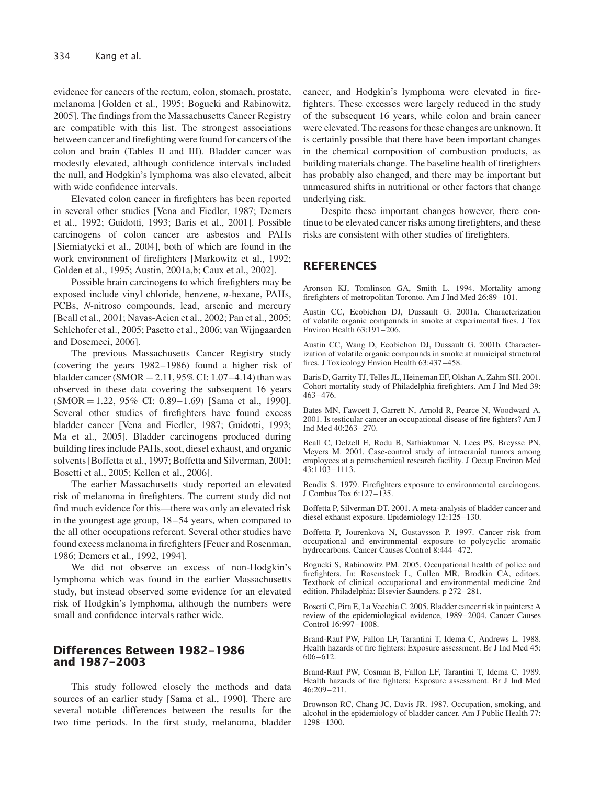evidence for cancers of the rectum, colon, stomach, prostate, melanoma [Golden et al., 1995; Bogucki and Rabinowitz, 2005]. The findings from the Massachusetts Cancer Registry are compatible with this list. The strongest associations between cancer and firefighting were found for cancers of the colon and brain (Tables II and III). Bladder cancer was modestly elevated, although confidence intervals included the null, and Hodgkin's lymphoma was also elevated, albeit with wide confidence intervals.

Elevated colon cancer in firefighters has been reported in several other studies [Vena and Fiedler, 1987; Demers et al., 1992; Guidotti, 1993; Baris et al., 2001]. Possible carcinogens of colon cancer are asbestos and PAHs [Siemiatycki et al., 2004], both of which are found in the work environment of firefighters [Markowitz et al., 1992; Golden et al., 1995; Austin, 2001a,b; Caux et al., 2002].

Possible brain carcinogens to which firefighters may be exposed include vinyl chloride, benzene, n-hexane, PAHs, PCBs, N-nitroso compounds, lead, arsenic and mercury [Beall et al., 2001; Navas-Acien et al., 2002; Pan et al., 2005; Schlehofer et al., 2005; Pasetto et al., 2006; van Wijngaarden and Dosemeci, 2006].

The previous Massachusetts Cancer Registry study (covering the years 1982–1986) found a higher risk of bladder cancer (SMOR =  $2.11,95\%$  CI: 1.07–4.14) than was observed in these data covering the subsequent 16 years  $(SMOR = 1.22, 95\% \text{ CI: } 0.89 - 1.69)$  [Sama et al., 1990]. Several other studies of firefighters have found excess bladder cancer [Vena and Fiedler, 1987; Guidotti, 1993; Ma et al., 2005]. Bladder carcinogens produced during building fires include PAHs, soot, diesel exhaust, and organic solvents [Boffetta et al., 1997; Boffetta and Silverman, 2001; Bosetti et al., 2005; Kellen et al., 2006].

The earlier Massachusetts study reported an elevated risk of melanoma in firefighters. The current study did not find much evidence for this—there was only an elevated risk in the youngest age group, 18–54 years, when compared to the all other occupations referent. Several other studies have found excess melanoma in firefighters [Feuer and Rosenman, 1986; Demers et al., 1992, 1994].

We did not observe an excess of non-Hodgkin's lymphoma which was found in the earlier Massachusetts study, but instead observed some evidence for an elevated risk of Hodgkin's lymphoma, although the numbers were small and confidence intervals rather wide.

### Differences Between 1982–1986 and 1987–2003

This study followed closely the methods and data sources of an earlier study [Sama et al., 1990]. There are several notable differences between the results for the two time periods. In the first study, melanoma, bladder

cancer, and Hodgkin's lymphoma were elevated in firefighters. These excesses were largely reduced in the study of the subsequent 16 years, while colon and brain cancer were elevated. The reasons for these changes are unknown. It is certainly possible that there have been important changes in the chemical composition of combustion products, as building materials change. The baseline health of firefighters has probably also changed, and there may be important but unmeasured shifts in nutritional or other factors that change underlying risk.

Despite these important changes however, there continue to be elevated cancer risks among firefighters, and these risks are consistent with other studies of firefighters.

# **REFERENCES**

Aronson KJ, Tomlinson GA, Smith L. 1994. Mortality among firefighters of metropolitan Toronto. Am J Ind Med 26:89–101.

Austin CC, Ecobichon DJ, Dussault G. 2001a. Characterization of volatile organic compounds in smoke at experimental fires. J Tox Environ Health 63:191–206.

Austin CC, Wang D, Ecobichon DJ, Dussault G. 2001b. Characterization of volatile organic compounds in smoke at municipal structural fires. J Toxicology Envion Health 63:437–458.

Baris D, Garrity TJ, Telles JL, Heineman EF, Olshan A, Zahm SH. 2001. Cohort mortality study of Philadelphia firefighters. Am J Ind Med 39: 463–476.

Bates MN, Fawcett J, Garrett N, Arnold R, Pearce N, Woodward A. 2001. Is testicular cancer an occupational disease of fire fighters? Am J Ind Med 40:263–270.

Beall C, Delzell E, Rodu B, Sathiakumar N, Lees PS, Breysse PN, Meyers M. 2001. Case-control study of intracranial tumors among employees at a petrochemical research facility. J Occup Environ Med 43:1103–1113.

Bendix S. 1979. Firefighters exposure to environmental carcinogens. J Combus Tox 6:127–135.

Boffetta P, Silverman DT. 2001. A meta-analysis of bladder cancer and diesel exhaust exposure. Epidemiology 12:125–130.

Boffetta P, Jourenkova N, Gustavsson P. 1997. Cancer risk from occupational and environmental exposure to polycyclic aromatic hydrocarbons. Cancer Causes Control 8:444–472.

Bogucki S, Rabinowitz PM. 2005. Occupational health of police and firefighters. In: Rosenstock L, Cullen MR, Brodkin CA, editors. Textbook of clinical occupational and environmental medicine 2nd edition. Philadelphia: Elsevier Saunders. p 272–281.

Bosetti C, Pira E, La Vecchia C. 2005. Bladder cancer risk in painters: A review of the epidemiological evidence, 1989–2004. Cancer Causes Control 16:997–1008.

Brand-Rauf PW, Fallon LF, Tarantini T, Idema C, Andrews L. 1988. Health hazards of fire fighters: Exposure assessment. Br J Ind Med 45: 606–612.

Brand-Rauf PW, Cosman B, Fallon LF, Tarantini T, Idema C. 1989. Health hazards of fire fighters: Exposure assessment. Br J Ind Med 46:209–211.

Brownson RC, Chang JC, Davis JR. 1987. Occupation, smoking, and alcohol in the epidemiology of bladder cancer. Am J Public Health 77: 1298–1300.